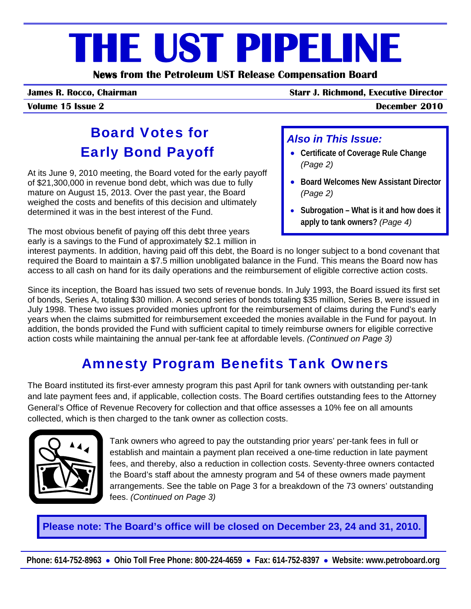# **THE UST PIPELINE**

**News from the Petroleum UST Release Compensation Board** 

**James R. Rocco, Chairman Starr J. Richmond, Executive Director**

**Volume 15 Issue 2 December 2010**

# Board Votes for Early Bond Payoff

At its June 9, 2010 meeting, the Board voted for the early payoff of \$21,300,000 in revenue bond debt, which was due to fully mature on August 15, 2013. Over the past year, the Board weighed the costs and benefits of this decision and ultimately determined it was in the best interest of the Fund.

The most obvious benefit of paying off this debt three years early is a savings to the Fund of approximately \$2.1 million in

#### *Also in This Issue:*

- **Certificate of Coverage Rule Change** *(Page 2)*
- **Board Welcomes New Assistant Director** *(Page 2)*
- **Subrogation What is it and how does it apply to tank owners?** *(Page 4)*

interest payments. In addition, having paid off this debt, the Board is no longer subject to a bond covenant that required the Board to maintain a \$7.5 million unobligated balance in the Fund. This means the Board now has access to all cash on hand for its daily operations and the reimbursement of eligible corrective action costs.

Since its inception, the Board has issued two sets of revenue bonds. In July 1993, the Board issued its first set of bonds, Series A, totaling \$30 million. A second series of bonds totaling \$35 million, Series B, were issued in July 1998. These two issues provided monies upfront for the reimbursement of claims during the Fund's early years when the claims submitted for reimbursement exceeded the monies available in the Fund for payout. In addition, the bonds provided the Fund with sufficient capital to timely reimburse owners for eligible corrective action costs while maintaining the annual per-tank fee at affordable levels. *(Continued on Page 3)*

# Amnesty Program Benefits Tank Owners

The Board instituted its first-ever amnesty program this past April for tank owners with outstanding per-tank and late payment fees and, if applicable, collection costs. The Board certifies outstanding fees to the Attorney General's Office of Revenue Recovery for collection and that office assesses a 10% fee on all amounts collected, which is then charged to the tank owner as collection costs.



Tank owners who agreed to pay the outstanding prior years' per-tank fees in full or establish and maintain a payment plan received a one-time reduction in late payment fees, and thereby, also a reduction in collection costs. Seventy-three owners contacted the Board's staff about the amnesty program and 54 of these owners made payment arrangements. See the table on Page 3 for a breakdown of the 73 owners' outstanding fees. *(Continued on Page 3)* 

**Please note: The Board's office will be closed on December 23, 24 and 31, 2010.**

**Phone: 614-752-8963** • **Ohio Toll Free Phone: 800-224-4659** • **Fax: 614-752-8397** • **Website: www.petroboard.org**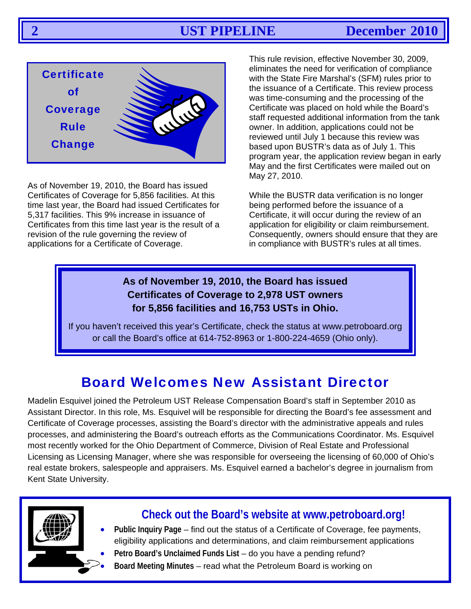

As of November 19, 2010, the Board has issued Certificates of Coverage for 5,856 facilities. At this time last year, the Board had issued Certificates for 5,317 facilities. This 9% increase in issuance of Certificates from this time last year is the result of a revision of the rule governing the review of applications for a Certificate of Coverage.

This rule revision, effective November 30, 2009, eliminates the need for verification of compliance with the State Fire Marshal's (SFM) rules prior to the issuance of a Certificate. This review process was time-consuming and the processing of the Certificate was placed on hold while the Board's staff requested additional information from the tank owner. In addition, applications could not be reviewed until July 1 because this review was based upon BUSTR's data as of July 1. This program year, the application review began in early May and the first Certificates were mailed out on May 27, 2010.

While the BUSTR data verification is no longer being performed before the issuance of a Certificate, it will occur during the review of an application for eligibility or claim reimbursement. Consequently, owners should ensure that they are in compliance with BUSTR's rules at all times.

#### **As of November 19, 2010, the Board has issued Certificates of Coverage to 2,978 UST owners for 5,856 facilities and 16,753 USTs in Ohio.**

If you haven't received this year's Certificate, check the status at www.petroboard.org or call the Board's office at 614-752-8963 or 1-800-224-4659 (Ohio only).

# Board Welcomes New Assistant Director

Madelin Esquivel joined the Petroleum UST Release Compensation Board's staff in September 2010 as Assistant Director. In this role, Ms. Esquivel will be responsible for directing the Board's fee assessment and Certificate of Coverage processes, assisting the Board's director with the administrative appeals and rules processes, and administering the Board's outreach efforts as the Communications Coordinator. Ms. Esquivel most recently worked for the Ohio Department of Commerce, Division of Real Estate and Professional Licensing as Licensing Manager, where she was responsible for overseeing the licensing of 60,000 of Ohio's real estate brokers, salespeople and appraisers. Ms. Esquivel earned a bachelor's degree in journalism from Kent State University.



### **Check out the Board's website at www.petroboard.org!**

- **Public Inquiry Page** find out the status of a Certificate of Coverage, fee payments, eligibility applications and determinations, and claim reimbursement applications
- **Petro Board's Unclaimed Funds List** do you have a pending refund?
	- **Board Meeting Minutes** read what the Petroleum Board is working on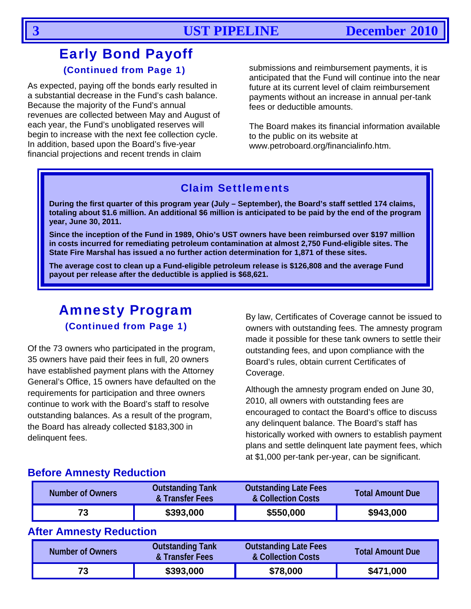### Early Bond Payoff (Continued from Page 1)

As expected, paying off the bonds early resulted in a substantial decrease in the Fund's cash balance. Because the majority of the Fund's annual revenues are collected between May and August of each year, the Fund's unobligated reserves will begin to increase with the next fee collection cycle. In addition, based upon the Board's five-year financial projections and recent trends in claim

submissions and reimbursement payments, it is anticipated that the Fund will continue into the near future at its current level of claim reimbursement payments without an increase in annual per-tank fees or deductible amounts.

The Board makes its financial information available to the public on its website at www.petroboard.org/financialinfo.htm.

#### Claim Settlements

**During the first quarter of this program year (July – September), the Board's staff settled 174 claims, totaling about \$1.6 million. An additional \$6 million is anticipated to be paid by the end of the program year, June 30, 2011.** 

**Since the inception of the Fund in 1989, Ohio's UST owners have been reimbursed over \$197 million in costs incurred for remediating petroleum contamination at almost 2,750 Fund-eligible sites. The State Fire Marshal has issued a no further action determination for 1,871 of these sites.** 

**The average cost to clean up a Fund-eligible petroleum release is \$126,808 and the average Fund payout per release after the deductible is applied is \$68,621.**

# Amnesty Program

(Continued from Page 1)

Of the 73 owners who participated in the program, 35 owners have paid their fees in full, 20 owners have established payment plans with the Attorney General's Office, 15 owners have defaulted on the requirements for participation and three owners continue to work with the Board's staff to resolve outstanding balances. As a result of the program, the Board has already collected \$183,300 in delinquent fees.

By law, Certificates of Coverage cannot be issued to owners with outstanding fees. The amnesty program made it possible for these tank owners to settle their outstanding fees, and upon compliance with the Board's rules, obtain current Certificates of Coverage.

Although the amnesty program ended on June 30, 2010, all owners with outstanding fees are encouraged to contact the Board's office to discuss any delinquent balance. The Board's staff has historically worked with owners to establish payment plans and settle delinquent late payment fees, which at \$1,000 per-tank per-year, can be significant.

#### **Before Amnesty Reduction**

| <b>Number of Owners</b> | <b>Outstanding Tank</b><br>& Transfer Fees | <b>Outstanding Late Fees</b><br>& Collection Costs | <b>Total Amount Due</b> |
|-------------------------|--------------------------------------------|----------------------------------------------------|-------------------------|
| 73                      | \$393,000                                  | \$550,000                                          | \$943,000               |

#### **After Amnesty Reduction**

| Number of Owners | <b>Outstanding Tank</b><br>& Transfer Fees | <b>Outstanding Late Fees</b><br>& Collection Costs | <b>Total Amount Due</b> |
|------------------|--------------------------------------------|----------------------------------------------------|-------------------------|
| 73               | \$393,000                                  | \$78,000                                           | \$471,000               |